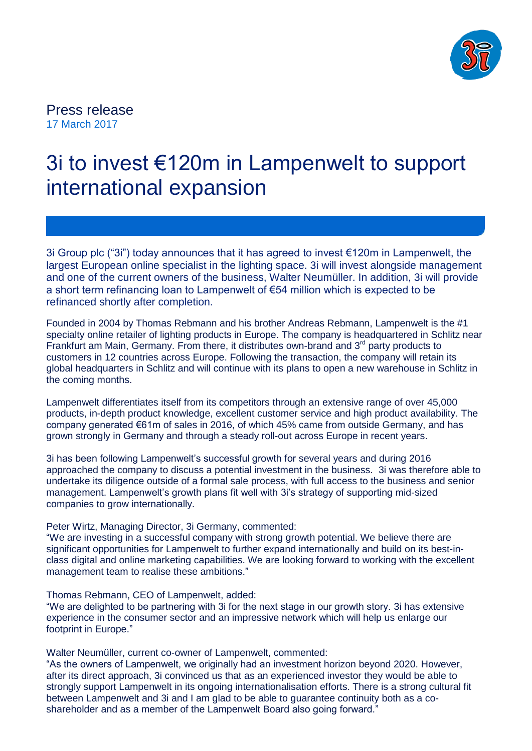

Press release 17 March 2017

# 3i to invest €120m in Lampenwelt to support international expansion

3i Group plc ("3i") today announces that it has agreed to invest €120m in Lampenwelt, the largest European online specialist in the lighting space. 3i will invest alongside management and one of the current owners of the business, Walter Neumüller. In addition, 3i will provide a short term refinancing loan to Lampenwelt of €54 million which is expected to be refinanced shortly after completion.

Founded in 2004 by Thomas Rebmann and his brother Andreas Rebmann, Lampenwelt is the #1 specialty online retailer of lighting products in Europe. The company is headquartered in Schlitz near Frankfurt am Main, Germany. From there, it distributes own-brand and 3<sup>rd</sup> party products to customers in 12 countries across Europe. Following the transaction, the company will retain its global headquarters in Schlitz and will continue with its plans to open a new warehouse in Schlitz in the coming months.

Lampenwelt differentiates itself from its competitors through an extensive range of over 45,000 products, in-depth product knowledge, excellent customer service and high product availability. The company generated €61m of sales in 2016, of which 45% came from outside Germany, and has grown strongly in Germany and through a steady roll-out across Europe in recent years.

3i has been following Lampenwelt's successful growth for several years and during 2016 approached the company to discuss a potential investment in the business. 3i was therefore able to undertake its diligence outside of a formal sale process, with full access to the business and senior management. Lampenwelt's growth plans fit well with 3i's strategy of supporting mid-sized companies to grow internationally.

## Peter Wirtz, Managing Director, 3i Germany, commented:

"We are investing in a successful company with strong growth potential. We believe there are significant opportunities for Lampenwelt to further expand internationally and build on its best-inclass digital and online marketing capabilities. We are looking forward to working with the excellent management team to realise these ambitions."

### Thomas Rebmann, CEO of Lampenwelt, added:

"We are delighted to be partnering with 3i for the next stage in our growth story. 3i has extensive experience in the consumer sector and an impressive network which will help us enlarge our footprint in Europe."

Walter Neumüller, current co-owner of Lampenwelt, commented:

"As the owners of Lampenwelt, we originally had an investment horizon beyond 2020. However, after its direct approach, 3i convinced us that as an experienced investor they would be able to strongly support Lampenwelt in its ongoing internationalisation efforts. There is a strong cultural fit between Lampenwelt and 3i and I am glad to be able to guarantee continuity both as a coshareholder and as a member of the Lampenwelt Board also going forward."